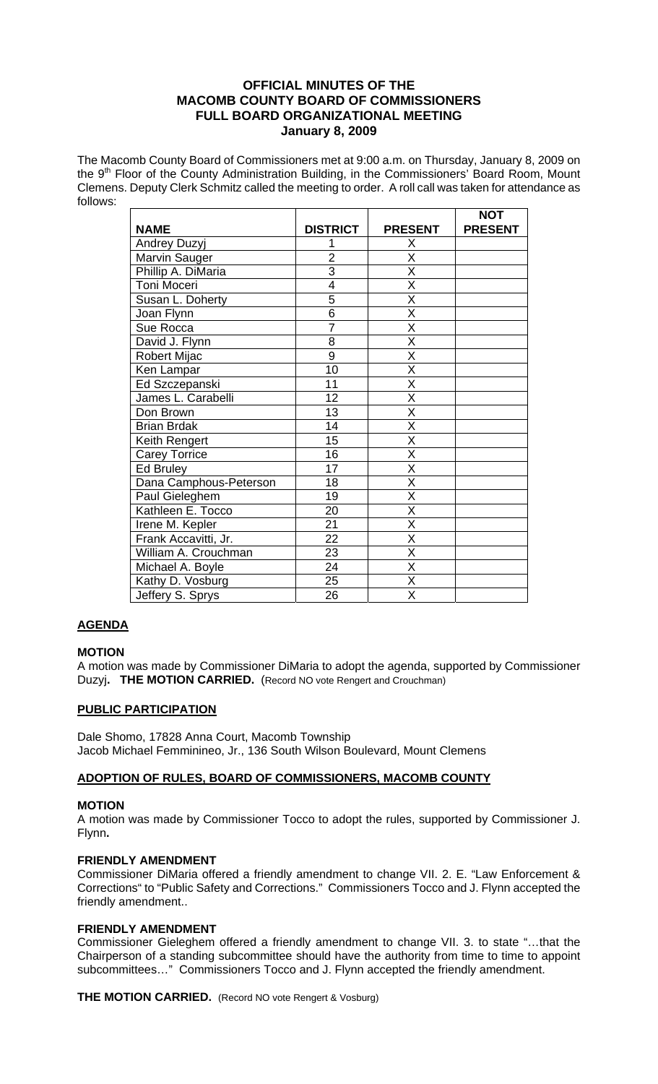# **OFFICIAL MINUTES OF THE MACOMB COUNTY BOARD OF COMMISSIONERS FULL BOARD ORGANIZATIONAL MEETING January 8, 2009**

The Macomb County Board of Commissioners met at 9:00 a.m. on Thursday, January 8, 2009 on the  $9<sup>th</sup>$  Floor of the County Administration Building, in the Commissioners' Board Room, Mount Clemens. Deputy Clerk Schmitz called the meeting to order. A roll call was taken for attendance as follows:

|                        |                 |                         | <b>NOT</b>     |
|------------------------|-----------------|-------------------------|----------------|
| <b>NAME</b>            | <b>DISTRICT</b> | <b>PRESENT</b>          | <b>PRESENT</b> |
| Andrey Duzyj           | 1               | Χ                       |                |
| Marvin Sauger          | $\overline{2}$  | X                       |                |
| Phillip A. DiMaria     | 3               | Χ                       |                |
| <b>Toni Moceri</b>     | $\overline{4}$  | $\overline{\mathsf{x}}$ |                |
| Susan L. Doherty       | 5               | $\overline{\mathsf{x}}$ |                |
| Joan Flynn             | 6               | Χ                       |                |
| Sue Rocca              | 7               | $\overline{\mathsf{x}}$ |                |
| David J. Flynn         | 8               | $\overline{\mathsf{x}}$ |                |
| Robert Mijac           | 9               | Χ                       |                |
| Ken Lampar             | 10              | X                       |                |
| Ed Szczepanski         | 11              | X                       |                |
| James L. Carabelli     | 12              | X                       |                |
| Don Brown              | 13              | $\overline{\mathsf{x}}$ |                |
| <b>Brian Brdak</b>     | 14              | $\overline{\mathsf{x}}$ |                |
| Keith Rengert          | 15              | X                       |                |
| <b>Carey Torrice</b>   | 16              | X                       |                |
| Ed Bruley              | 17              | X                       |                |
| Dana Camphous-Peterson | 18              | X                       |                |
| Paul Gieleghem         | 19              | Χ                       |                |
| Kathleen E. Tocco      | 20              | $\overline{\mathsf{x}}$ |                |
| Irene M. Kepler        | 21              | $\overline{\mathsf{x}}$ |                |
| Frank Accavitti, Jr.   | 22              | X                       |                |
| William A. Crouchman   | 23              | X                       |                |
| Michael A. Boyle       | 24              | X                       |                |
| Kathy D. Vosburg       | 25              | Χ                       |                |
| Jeffery S. Sprys       | 26              | Χ                       |                |

# **AGENDA**

# **MOTION**

A motion was made by Commissioner DiMaria to adopt the agenda, supported by Commissioner Duzyj**. THE MOTION CARRIED.** (Record NO vote Rengert and Crouchman)

# **PUBLIC PARTICIPATION**

Dale Shomo, 17828 Anna Court, Macomb Township Jacob Michael Femminineo, Jr., 136 South Wilson Boulevard, Mount Clemens

# **ADOPTION OF RULES, BOARD OF COMMISSIONERS, MACOMB COUNTY**

## **MOTION**

A motion was made by Commissioner Tocco to adopt the rules, supported by Commissioner J. Flynn**.** 

## **FRIENDLY AMENDMENT**

Commissioner DiMaria offered a friendly amendment to change VII. 2. E. "Law Enforcement & Corrections" to "Public Safety and Corrections." Commissioners Tocco and J. Flynn accepted the friendly amendment..

## **FRIENDLY AMENDMENT**

Commissioner Gieleghem offered a friendly amendment to change VII. 3. to state "…that the Chairperson of a standing subcommittee should have the authority from time to time to appoint subcommittees…" Commissioners Tocco and J. Flynn accepted the friendly amendment.

**THE MOTION CARRIED.** (Record NO vote Rengert & Vosburg)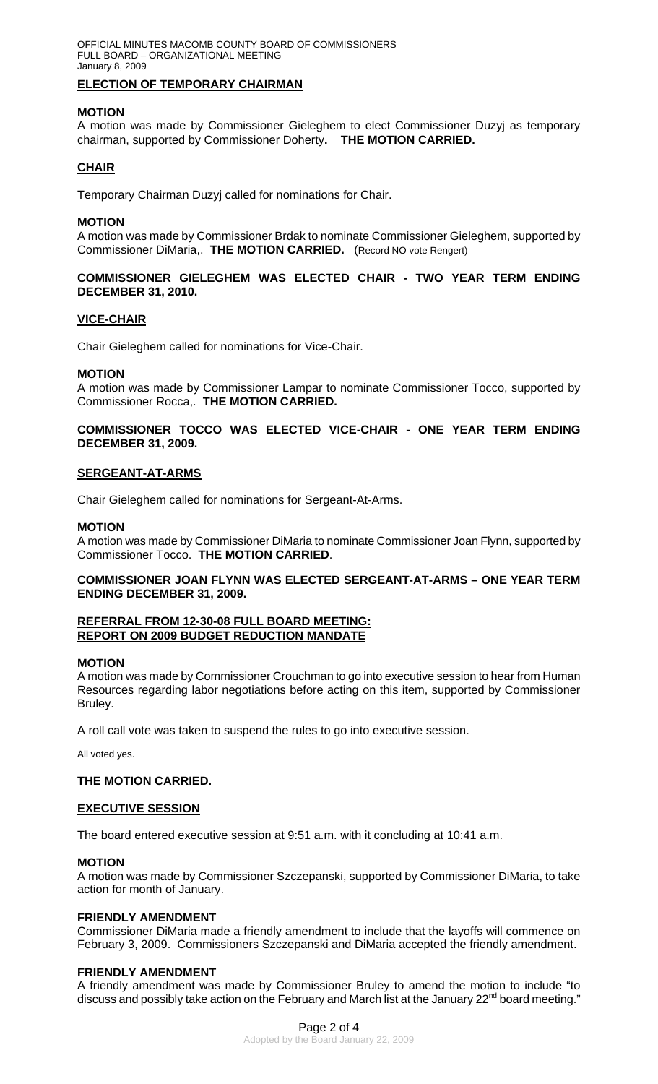## **ELECTION OF TEMPORARY CHAIRMAN**

## **MOTION**

A motion was made by Commissioner Gieleghem to elect Commissioner Duzyj as temporary chairman, supported by Commissioner Doherty**. THE MOTION CARRIED.** 

# **CHAIR**

Temporary Chairman Duzyj called for nominations for Chair.

#### **MOTION**

A motion was made by Commissioner Brdak to nominate Commissioner Gieleghem, supported by Commissioner DiMaria,. **THE MOTION CARRIED.** (Record NO vote Rengert)

## **COMMISSIONER GIELEGHEM WAS ELECTED CHAIR - TWO YEAR TERM ENDING DECEMBER 31, 2010.**

## **VICE-CHAIR**

Chair Gieleghem called for nominations for Vice-Chair.

#### **MOTION**

A motion was made by Commissioner Lampar to nominate Commissioner Tocco, supported by Commissioner Rocca,. **THE MOTION CARRIED.** 

## **COMMISSIONER TOCCO WAS ELECTED VICE-CHAIR - ONE YEAR TERM ENDING DECEMBER 31, 2009.**

#### **SERGEANT-AT-ARMS**

Chair Gieleghem called for nominations for Sergeant-At-Arms.

#### **MOTION**

A motion was made by Commissioner DiMaria to nominate Commissioner Joan Flynn, supported by Commissioner Tocco. **THE MOTION CARRIED**.

## **COMMISSIONER JOAN FLYNN WAS ELECTED SERGEANT-AT-ARMS – ONE YEAR TERM ENDING DECEMBER 31, 2009.**

#### **REFERRAL FROM 12-30-08 FULL BOARD MEETING: REPORT ON 2009 BUDGET REDUCTION MANDATE**

#### **MOTION**

A motion was made by Commissioner Crouchman to go into executive session to hear from Human Resources regarding labor negotiations before acting on this item, supported by Commissioner Bruley.

A roll call vote was taken to suspend the rules to go into executive session.

All voted yes.

## **THE MOTION CARRIED.**

## **EXECUTIVE SESSION**

The board entered executive session at 9:51 a.m. with it concluding at 10:41 a.m.

## **MOTION**

A motion was made by Commissioner Szczepanski, supported by Commissioner DiMaria, to take action for month of January.

## **FRIENDLY AMENDMENT**

Commissioner DiMaria made a friendly amendment to include that the layoffs will commence on February 3, 2009. Commissioners Szczepanski and DiMaria accepted the friendly amendment.

## **FRIENDLY AMENDMENT**

A friendly amendment was made by Commissioner Bruley to amend the motion to include "to discuss and possibly take action on the February and March list at the January  $22^{nd}$  board meeting."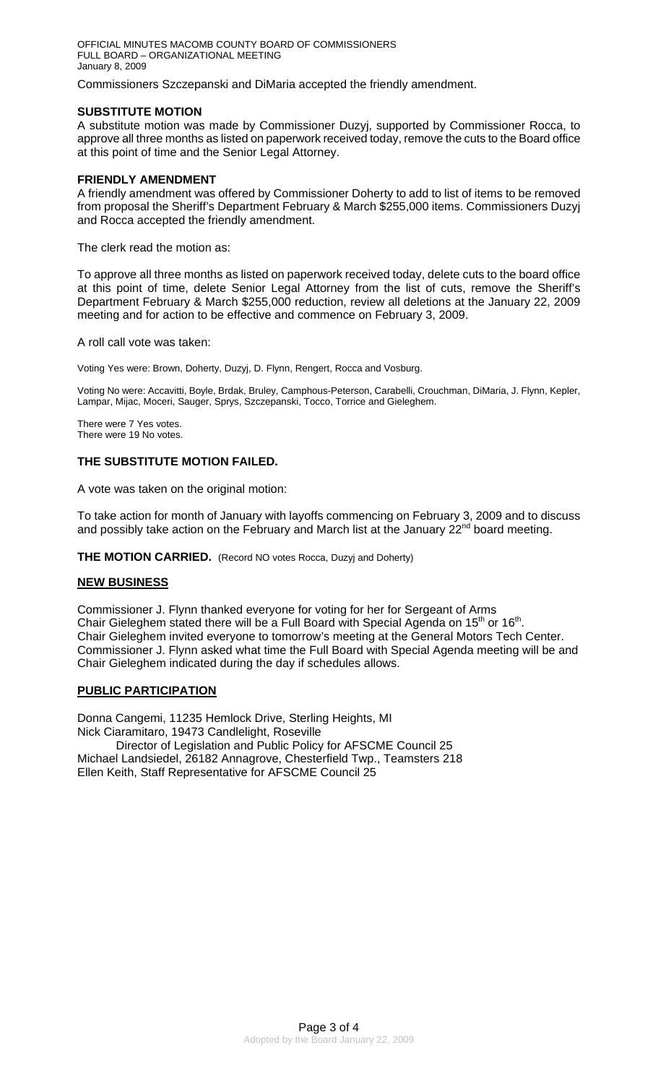OFFICIAL MINUTES MACOMB COUNTY BOARD OF COMMISSIONERS FULL BOARD – ORGANIZATIONAL MEETING January 8, 2009

Commissioners Szczepanski and DiMaria accepted the friendly amendment.

## **SUBSTITUTE MOTION**

A substitute motion was made by Commissioner Duzyj, supported by Commissioner Rocca, to approve all three months as listed on paperwork received today, remove the cuts to the Board office at this point of time and the Senior Legal Attorney.

## **FRIENDLY AMENDMENT**

A friendly amendment was offered by Commissioner Doherty to add to list of items to be removed from proposal the Sheriff's Department February & March \$255,000 items. Commissioners Duzyj and Rocca accepted the friendly amendment.

The clerk read the motion as:

To approve all three months as listed on paperwork received today, delete cuts to the board office at this point of time, delete Senior Legal Attorney from the list of cuts, remove the Sheriff's Department February & March \$255,000 reduction, review all deletions at the January 22, 2009 meeting and for action to be effective and commence on February 3, 2009.

A roll call vote was taken:

Voting Yes were: Brown, Doherty, Duzyj, D. Flynn, Rengert, Rocca and Vosburg.

Voting No were: Accavitti, Boyle, Brdak, Bruley, Camphous-Peterson, Carabelli, Crouchman, DiMaria, J. Flynn, Kepler, Lampar, Mijac, Moceri, Sauger, Sprys, Szczepanski, Tocco, Torrice and Gieleghem.

There were 7 Yes votes. There were 19 No votes.

## **THE SUBSTITUTE MOTION FAILED.**

A vote was taken on the original motion:

To take action for month of January with layoffs commencing on February 3, 2009 and to discuss and possibly take action on the February and March list at the January  $22^{nd}$  board meeting.

**THE MOTION CARRIED.** (Record NO votes Rocca, Duzyj and Doherty)

## **NEW BUSINESS**

Commissioner J. Flynn thanked everyone for voting for her for Sergeant of Arms Chair Gieleghem stated there will be a Full Board with Special Agenda on 15<sup>th</sup> or 16<sup>th</sup>. Chair Gieleghem invited everyone to tomorrow's meeting at the General Motors Tech Center. Commissioner J. Flynn asked what time the Full Board with Special Agenda meeting will be and Chair Gieleghem indicated during the day if schedules allows.

## **PUBLIC PARTICIPATION**

Donna Cangemi, 11235 Hemlock Drive, Sterling Heights, MI Nick Ciaramitaro, 19473 Candlelight, Roseville Director of Legislation and Public Policy for AFSCME Council 25

Michael Landsiedel, 26182 Annagrove, Chesterfield Twp., Teamsters 218 Ellen Keith, Staff Representative for AFSCME Council 25